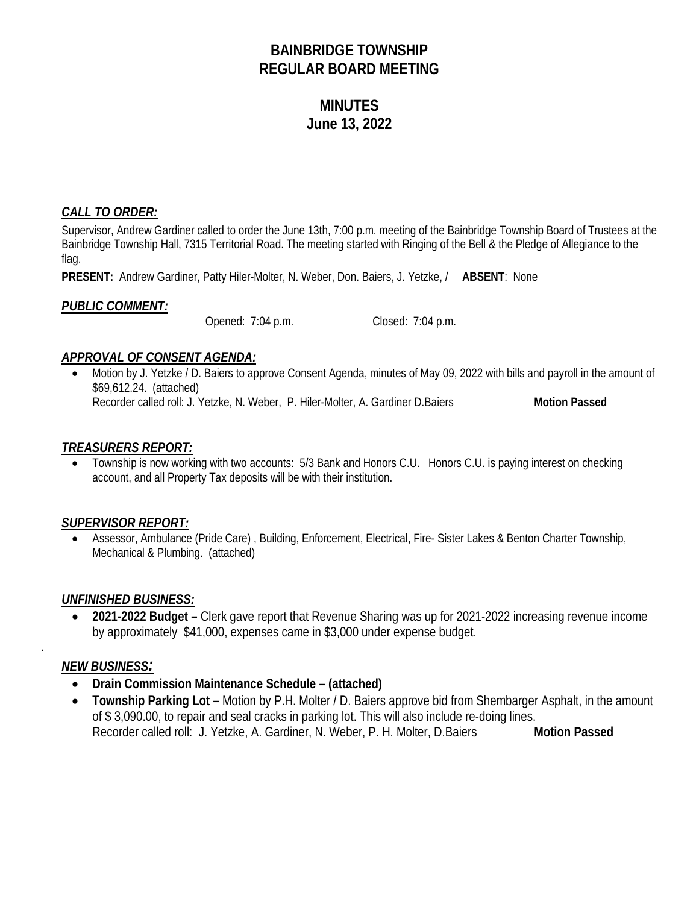# **BAINBRIDGE TOWNSHIP REGULAR BOARD MEETING**

# **MINUTES June 13, 2022**

# *CALL TO ORDER:*

Supervisor, Andrew Gardiner called to order the June 13th, 7:00 p.m. meeting of the Bainbridge Township Board of Trustees at the Bainbridge Township Hall, 7315 Territorial Road. The meeting started with Ringing of the Bell & the Pledge of Allegiance to the flag.

**PRESENT:** Andrew Gardiner, Patty Hiler-Molter, N. Weber, Don. Baiers, J. Yetzke, / **ABSENT**: None

## *PUBLIC COMMENT:*

Opened: 7:04 p.m. Closed: 7:04 p.m.

## *APPROVAL OF CONSENT AGENDA:*

• Motion by J. Yetzke / D. Baiers to approve Consent Agenda, minutes of May 09, 2022 with bills and payroll in the amount of \$69,612.24. (attached) Recorder called roll: J. Yetzke, N. Weber, P. Hiler-Molter, A. Gardiner D.Baiers **Motion Passed** 

#### *TREASURERS REPORT:*

• Township is now working with two accounts: 5/3 Bank and Honors C.U. Honors C.U. is paying interest on checking account, and all Property Tax deposits will be with their institution.

#### *SUPERVISOR REPORT:*

• Assessor, Ambulance (Pride Care) , Building, Enforcement, Electrical, Fire- Sister Lakes & Benton Charter Township, Mechanical & Plumbing. (attached)

#### *UNFINISHED BUSINESS:*

• **2021-2022 Budget –** Clerk gave report that Revenue Sharing was up for 2021-2022 increasing revenue income by approximately \$41,000, expenses came in \$3,000 under expense budget.

#### *NEW BUSINESS:*

.

- **Drain Commission Maintenance Schedule – (attached)**
- **Township Parking Lot –** Motion by P.H. Molter / D. Baiers approve bid from Shembarger Asphalt, in the amount of \$ 3,090.00, to repair and seal cracks in parking lot. This will also include re-doing lines. Recorder called roll: J. Yetzke, A. Gardiner, N. Weber, P. H. Molter, D.Baiers **Motion Passed**